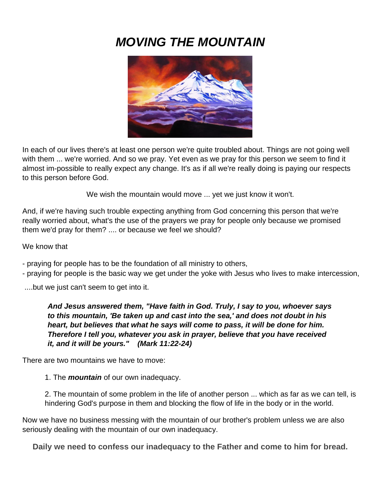# *MOVING THE MOUNTAIN*



In each of our lives there's at least one person we're quite troubled about. Things are not going well with them ... we're worried. And so we pray. Yet even as we pray for this person we seem to find it almost im-possible to really expect any change. It's as if all we're really doing is paying our respects to this person before God.

We wish the mountain would move ... yet we just know it won't.

And, if we're having such trouble expecting anything from God concerning this person that we're really worried about, what's the use of the prayers we pray for people only because we promised them we'd pray for them? .... or because we feel we should?

#### We know that

- praying for people has to be the foundation of all ministry to others,
- praying for people is the basic way we get under the yoke with Jesus who lives to make intercession,

....but we just can't seem to get into it.

*And Jesus answered them, "Have faith in God. Truly, I say to you, whoever says to this mountain, 'Be taken up and cast into the sea,' and does not doubt in his heart, but believes that what he says will come to pass, it will be done for him. Therefore I tell you, whatever you ask in prayer, believe that you have received it, and it will be yours." (Mark 11:22-24)*

There are two mountains we have to move:

1. The *mountain* of our own inadequacy.

2. The mountain of some problem in the life of another person ... which as far as we can tell, is hindering God's purpose in them and blocking the flow of life in the body or in the world.

Now we have no business messing with the mountain of our brother's problem unless we are also seriously dealing with the mountain of our own inadequacy.

**Daily we need to confess our inadequacy to the Father and come to him for bread.**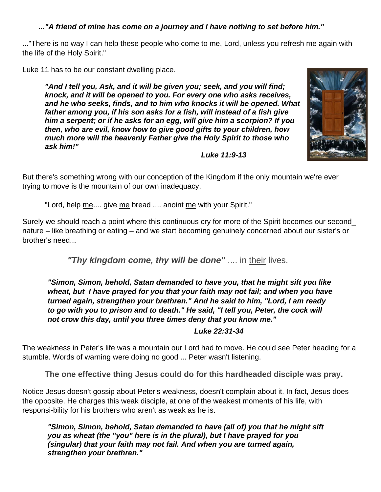#### *..."A friend of mine has come on a journey and I have nothing to set before him."*

..."There is no way I can help these people who come to me, Lord, unless you refresh me again with the life of the Holy Spirit."

Luke 11 has to be our constant dwelling place.

*"And I tell you, Ask, and it will be given you; seek, and you will find; knock, and it will be opened to you. For every one who asks receives, and he who seeks, finds, and to him who knocks it will be opened. What father among you, if his son asks for a fish, will instead of a fish give him a serpent; or if he asks for an egg, will give him a scorpion? If you then, who are evil, know how to give good gifts to your children, how much more will the heavenly Father give the Holy Spirit to those who ask him!"* 

*Luke 11:9-13*



But there's something wrong with our conception of the Kingdom if the only mountain we're ever trying to move is the mountain of our own inadequacy.

"Lord, help me.... give me bread .... anoint me with your Spirit."

Surely we should reach a point where this continuous cry for more of the Spirit becomes our second\_ nature – like breathing or eating – and we start becoming genuinely concerned about our sister's or brother's need...

*"Thy kingdom come, thy will be done"* .... in their lives.

*"Simon, Simon, behold, Satan demanded to have you, that he might sift you like wheat, but I have prayed for you that your faith may not fail; and when you have turned again, strengthen your brethren." And he said to him, "Lord, I am ready*  to go with you to prison and to death." He said, "I tell you, Peter, the cock will *not crow this day, until you three times deny that you know me."* 

*Luke 22:31-34*

The weakness in Peter's life was a mountain our Lord had to move. He could see Peter heading for a stumble. Words of warning were doing no good ... Peter wasn't listening.

**The one effective thing Jesus could do for this hardheaded disciple was pray.**

Notice Jesus doesn't gossip about Peter's weakness, doesn't complain about it. In fact, Jesus does the opposite. He charges this weak disciple, at one of the weakest moments of his life, with responsi-bility for his brothers who aren't as weak as he is.

*"Simon, Simon, behold, Satan demanded to have (all of) you that he might sift you as wheat (the "you" here is in the plural), but I have prayed for you (singular) that your faith may not fail. And when you are turned again, strengthen your brethren."*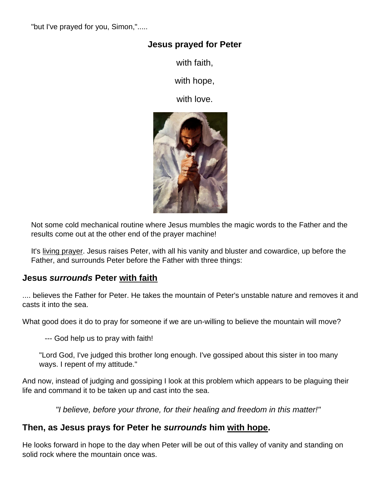"but I've prayed for you, Simon,".....

## **Jesus prayed for Peter**

with faith,

with hope,

with love.



Not some cold mechanical routine where Jesus mumbles the magic words to the Father and the results come out at the other end of the prayer machine!

It's living prayer. Jesus raises Peter, with all his vanity and bluster and cowardice, up before the Father, and surrounds Peter before the Father with three things:

## **Jesus** *surrounds* **Peter with faith**

.... believes the Father for Peter. He takes the mountain of Peter's unstable nature and removes it and casts it into the sea.

What good does it do to pray for someone if we are un-willing to believe the mountain will move?

--- God help us to pray with faith!

"Lord God, I've judged this brother long enough. I've gossiped about this sister in too many ways. I repent of my attitude."

And now, instead of judging and gossiping I look at this problem which appears to be plaguing their life and command it to be taken up and cast into the sea.

*"I believe, before your throne, for their healing and freedom in this matter!"*

## **Then, as Jesus prays for Peter he** *surrounds* **him with hope.**

He looks forward in hope to the day when Peter will be out of this valley of vanity and standing on solid rock where the mountain once was.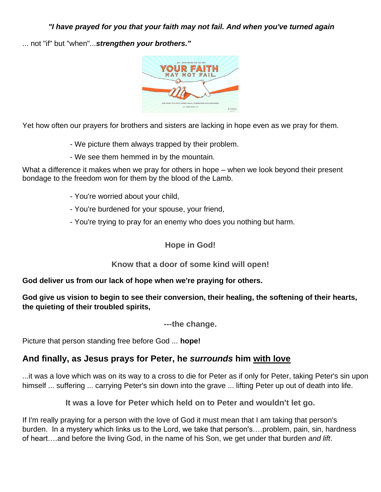*"I have prayed for you that your faith may not fail. And when you've turned again*

... not "if" but "when"...*strengthen your brothers."*



Yet how often our prayers for brothers and sisters are lacking in hope even as we pray for them.

- We picture them always trapped by their problem.
- We see them hemmed in by the mountain.

What a difference it makes when we pray for others in hope – when we look beyond their present bondage to the freedom won for them by the blood of the Lamb.

- You're worried about your child,
- You're burdened for your spouse, your friend,
- You're trying to pray for an enemy who does you nothing but harm.

#### **Hope in God!**

#### **Know that a door of some kind will open!**

#### **God deliver us from our lack of hope when we're praying for others.**

#### **God give us vision to begin to see their conversion, their healing, the softening of their hearts, the quieting of their troubled spirits,**

**---the change.**

Picture that person standing free before God ... **hope!**

## **And finally, as Jesus prays for Peter, he** *surrounds* **him with love**

...it was a love which was on its way to a cross to die for Peter as if only for Peter, taking Peter's sin upon himself ... suffering ... carrying Peter's sin down into the grave ... lifting Peter up out of death into life.

**It was a love for Peter which held on to Peter and wouldn't let go.**

If I'm really praying for a person with the love of God it must mean that I am taking that person's burden. In a mystery which links us to the Lord, we take that person's….problem, pain, sin, hardness of heart….and before the living God, in the name of his Son, we get under that burden *and lift*.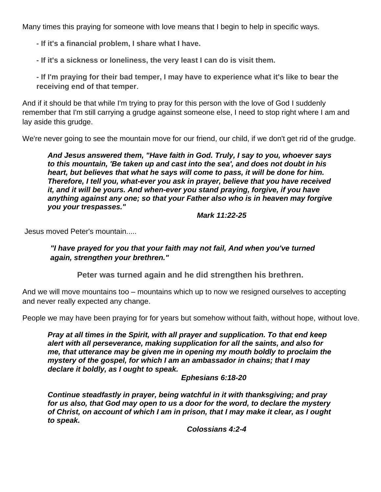Many times this praying for someone with love means that I begin to help in specific ways.

**- If it's a financial problem, I share what I have.**

**- If it's a sickness or loneliness, the very least I can do is visit them.**

**- If I'm praying for their bad temper, I may have to experience what it's like to bear the receiving end of that temper**.

And if it should be that while I'm trying to pray for this person with the love of God I suddenly remember that I'm still carrying a grudge against someone else, I need to stop right where I am and lay aside this grudge.

We're never going to see the mountain move for our friend, our child, if we don't get rid of the grudge.

*And Jesus answered them, "Have faith in God. Truly, I say to you, whoever says to this mountain, 'Be taken up and cast into the sea', and does not doubt in his heart, but believes that what he says will come to pass, it will be done for him. Therefore, I tell you, what-ever you ask in prayer, believe that you have received it, and it will be yours. And when-ever you stand praying, forgive, if you have anything against any one; so that your Father also who is in heaven may forgive you your trespasses."*

*Mark 11:22-25*

Jesus moved Peter's mountain.....

*"I have prayed for you that your faith may not fail, And when you've turned again, strengthen your brethren."*

**Peter was turned again and he did strengthen his brethren.**

And we will move mountains too – mountains which up to now we resigned ourselves to accepting and never really expected any change.

People we may have been praying for for years but somehow without faith, without hope, without love.

*Pray at all times in the Spirit, with all prayer and supplication. To that end keep alert with all perseverance, making supplication for all the saints, and also for me, that utterance may be given me in opening my mouth boldly to proclaim the mystery of the gospel, for which I am an ambassador in chains; that I may declare it boldly, as I ought to speak.*

*Ephesians 6:18-20*

*Continue steadfastly in prayer, being watchful in it with thanksgiving; and pray for us also, that God may open to us a door for the word, to declare the mystery of Christ, on account of which I am in prison, that I may make it clear, as I ought to speak.*

*Colossians 4:2-4*